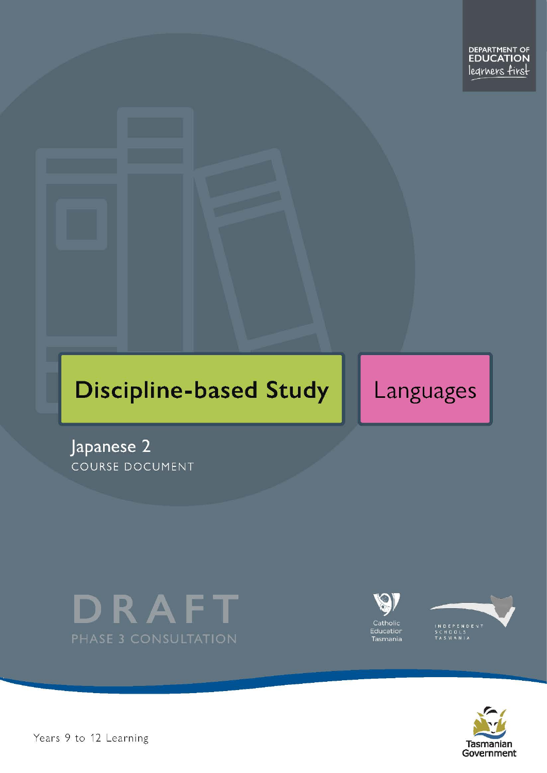# **Discipline-based Study**

Languages

Japanese 2 COURSE DOCUMENT







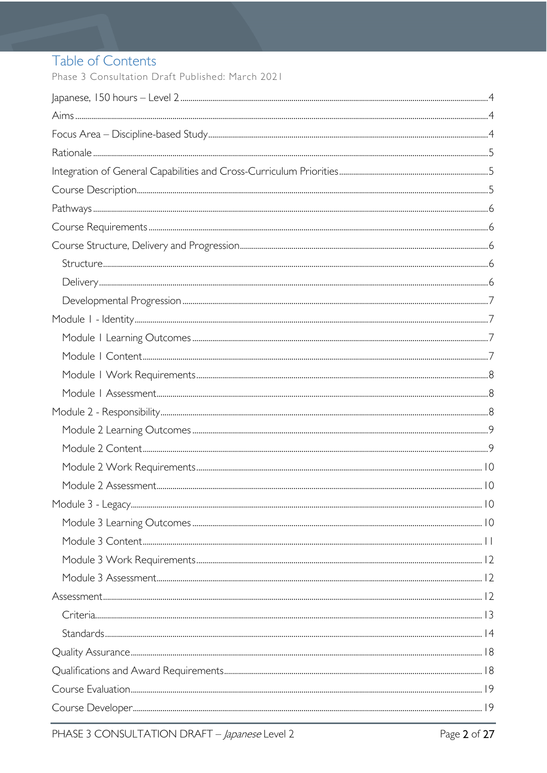# Table of Contents

Phase 3 Consultation Draft Published: March 2021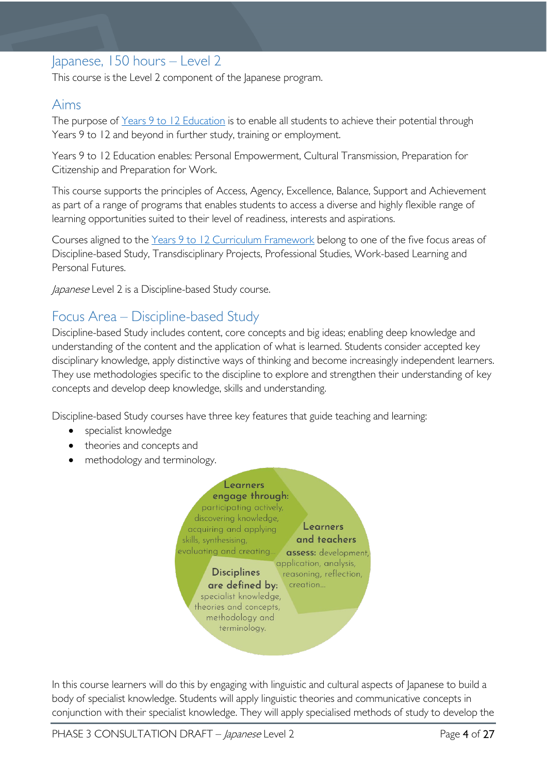# <span id="page-3-0"></span>Japanese, 150 hours – Level 2

This course is the Level 2 component of the Japanese program.

## <span id="page-3-1"></span>Aims

The purpose of Years 9 to 12 [Education](https://publicdocumentcentre.education.tas.gov.au/library/Shared%20Documents/Years-9-to-12-Education-Framework.pdf) is to enable all students to achieve their potential through Years 9 to 12 and beyond in further study, training or employment.

Years 9 to 12 Education enables: Personal Empowerment, Cultural Transmission, Preparation for Citizenship and Preparation for Work.

This course supports the principles of Access, Agency, Excellence, Balance, Support and Achievement as part of a range of programs that enables students to access a diverse and highly flexible range of learning opportunities suited to their level of readiness, interests and aspirations.

Courses aligned to the Years 9 to 12 Curriculum [Framework](https://publicdocumentcentre.education.tas.gov.au/library/Shared%20Documents/Education%209-12%20Frameworks%20A3%20WEB%20POSTER.pdf) belong to one of the five focus areas of Discipline-based Study, Transdisciplinary Projects, Professional Studies, Work-based Learning and Personal Futures.

Japanese Level 2 is a Discipline-based Study course.

# <span id="page-3-2"></span>Focus Area – Discipline-based Study

Discipline-based Study includes content, core concepts and big ideas; enabling deep knowledge and understanding of the content and the application of what is learned. Students consider accepted key disciplinary knowledge, apply distinctive ways of thinking and become increasingly independent learners. They use methodologies specific to the discipline to explore and strengthen their understanding of key concepts and develop deep knowledge, skills and understanding.

Discipline-based Study courses have three key features that guide teaching and learning:

- specialist knowledge
- theories and concepts and
- methodology and terminology.



In this course learners will do this by engaging with linguistic and cultural aspects of Japanese to build a body of specialist knowledge. Students will apply linguistic theories and communicative concepts in conjunction with their specialist knowledge. They will apply specialised methods of study to develop the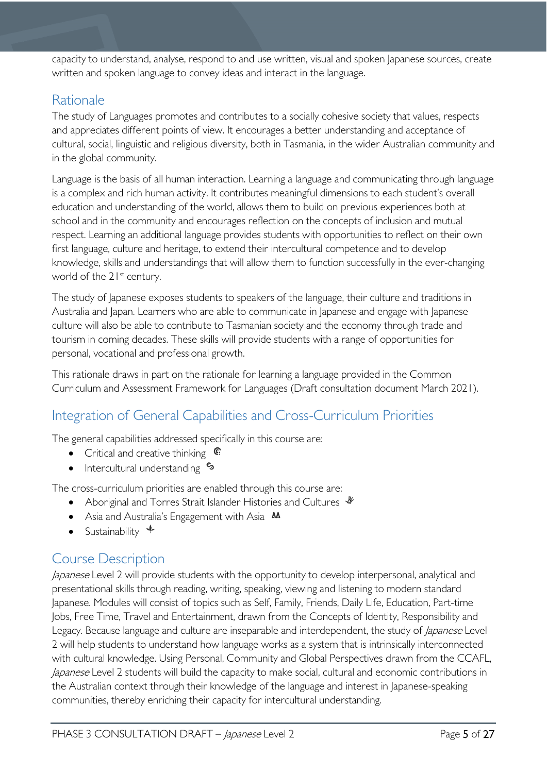capacity to understand, analyse, respond to and use written, visual and spoken Japanese sources, create written and spoken language to convey ideas and interact in the language.

## <span id="page-4-0"></span>**Rationale**

The study of Languages promotes and contributes to a socially cohesive society that values, respects and appreciates different points of view. It encourages a better understanding and acceptance of cultural, social, linguistic and religious diversity, both in Tasmania, in the wider Australian community and in the global community.

Language is the basis of all human interaction. Learning a language and communicating through language is a complex and rich human activity. It contributes meaningful dimensions to each student's overall education and understanding of the world, allows them to build on previous experiences both at school and in the community and encourages reflection on the concepts of inclusion and mutual respect. Learning an additional language provides students with opportunities to reflect on their own first language, culture and heritage, to extend their intercultural competence and to develop knowledge, skills and understandings that will allow them to function successfully in the ever-changing world of the 21<sup>st</sup> century.

The study of Japanese exposes students to speakers of the language, their culture and traditions in Australia and Japan. Learners who are able to communicate in Japanese and engage with Japanese culture will also be able to contribute to Tasmanian society and the economy through trade and tourism in coming decades. These skills will provide students with a range of opportunities for personal, vocational and professional growth.

This rationale draws in part on the rationale for learning a language provided in the Common Curriculum and Assessment Framework for Languages (Draft consultation document March 2021).

# <span id="page-4-1"></span>Integration of General Capabilities and Cross-Curriculum Priorities

The general capabilities addressed specifically in this course are:

- Critical and creative thinking  $\mathbb{C}$
- Intercultural understanding  $\frac{c_3}{ }$

The cross-curriculum priorities are enabled through this course are:

- Aboriginal and Torres Strait Islander Histories and Cultures  $\mathcal$
- Asia and Australia's Engagement with Asia **AA**
- Sustainability  $\triangleleft$

# <span id="page-4-2"></span>Course Description

Japanese Level 2 will provide students with the opportunity to develop interpersonal, analytical and presentational skills through reading, writing, speaking, viewing and listening to modern standard Japanese. Modules will consist of topics such as Self, Family, Friends, Daily Life, Education, Part-time Jobs, Free Time, Travel and Entertainment, drawn from the Concepts of Identity, Responsibility and Legacy. Because language and culture are inseparable and interdependent, the study of *Japanese* Level 2 will help students to understand how language works as a system that is intrinsically interconnected with cultural knowledge. Using Personal, Community and Global Perspectives drawn from the CCAFL, Japanese Level 2 students will build the capacity to make social, cultural and economic contributions in the Australian context through their knowledge of the language and interest in Japanese-speaking communities, thereby enriching their capacity for intercultural understanding.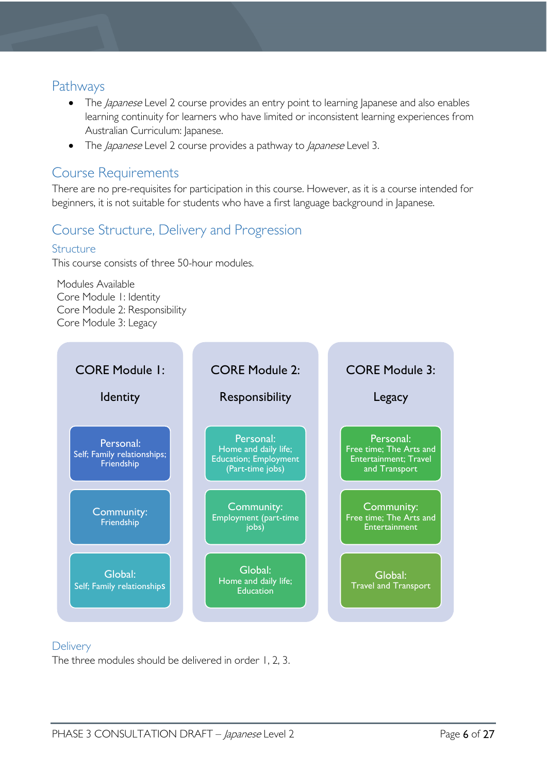### <span id="page-5-0"></span>Pathways

- The *Japanese* Level 2 course provides an entry point to learning Japanese and also enables learning continuity for learners who have limited or inconsistent learning experiences from Australian Curriculum: Japanese.
- The *Japanese* Level 2 course provides a pathway to *Japanese* Level 3.

### <span id="page-5-1"></span>Course Requirements

There are no pre-requisites for participation in this course. However, as it is a course intended for beginners, it is not suitable for students who have a first language background in Japanese.

# <span id="page-5-2"></span>Course Structure, Delivery and Progression

### <span id="page-5-3"></span>Structure

This course consists of three 50-hour modules.

Modules Available Core Module 1: Identity Core Module 2: Responsibility Core Module 3: Legacy



### <span id="page-5-4"></span>**Delivery**

The three modules should be delivered in order 1, 2, 3.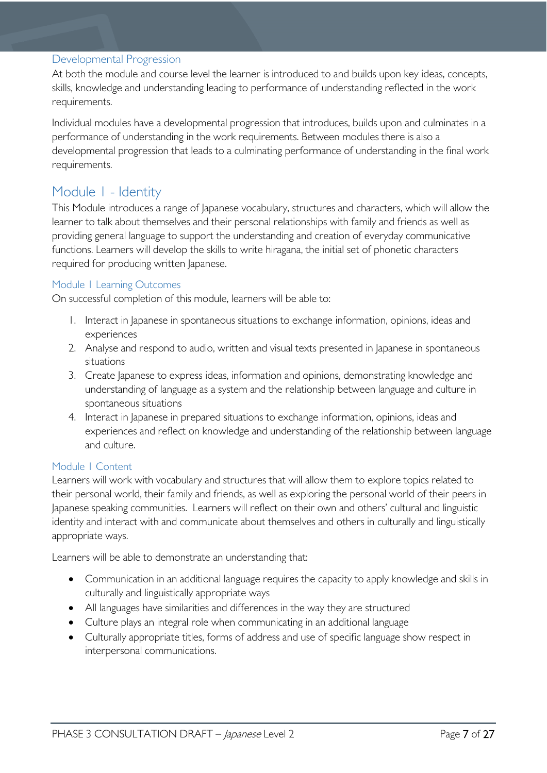### <span id="page-6-0"></span>Developmental Progression

At both the module and course level the learner is introduced to and builds upon key ideas, concepts, skills, knowledge and understanding leading to performance of understanding reflected in the work requirements.

Individual modules have a developmental progression that introduces, builds upon and culminates in a performance of understanding in the work requirements. Between modules there is also a developmental progression that leads to a culminating performance of understanding in the final work requirements.

### <span id="page-6-1"></span>Module 1 - Identity

This Module introduces a range of Japanese vocabulary, structures and characters, which will allow the learner to talk about themselves and their personal relationships with family and friends as well as providing general language to support the understanding and creation of everyday communicative functions. Learners will develop the skills to write hiragana, the initial set of phonetic characters required for producing written Japanese.

### <span id="page-6-2"></span>Module 1 Learning Outcomes

On successful completion of this module, learners will be able to:

- 1. Interact in Japanese in spontaneous situations to exchange information, opinions, ideas and experiences
- 2. Analyse and respond to audio, written and visual texts presented in Japanese in spontaneous situations
- 3. Create Japanese to express ideas, information and opinions, demonstrating knowledge and understanding of language as a system and the relationship between language and culture in spontaneous situations
- 4. Interact in Japanese in prepared situations to exchange information, opinions, ideas and experiences and reflect on knowledge and understanding of the relationship between language and culture.

#### <span id="page-6-3"></span>Module 1 Content

Learners will work with vocabulary and structures that will allow them to explore topics related to their personal world, their family and friends, as well as exploring the personal world of their peers in Japanese speaking communities. Learners will reflect on their own and others' cultural and linguistic identity and interact with and communicate about themselves and others in culturally and linguistically appropriate ways.

Learners will be able to demonstrate an understanding that:

- Communication in an additional language requires the capacity to apply knowledge and skills in culturally and linguistically appropriate ways
- All languages have similarities and differences in the way they are structured
- Culture plays an integral role when communicating in an additional language
- Culturally appropriate titles, forms of address and use of specific language show respect in interpersonal communications.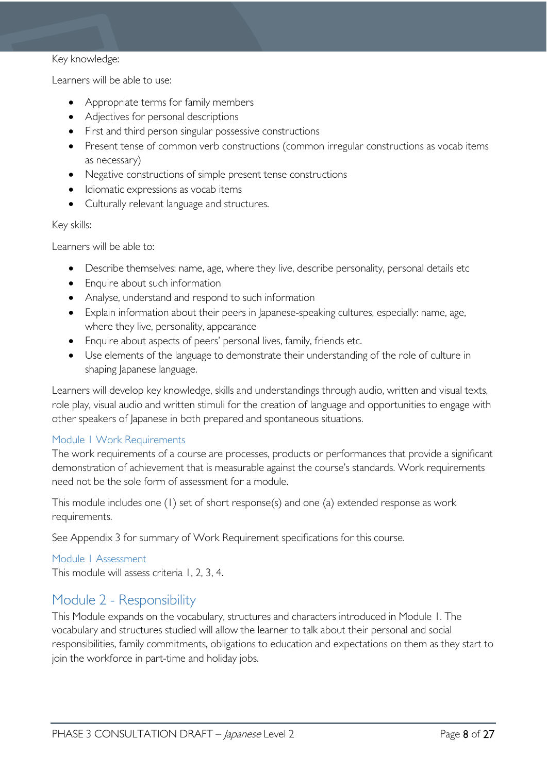#### Key knowledge:

Learners will be able to use:

- Appropriate terms for family members
- Adjectives for personal descriptions
- First and third person singular possessive constructions
- Present tense of common verb constructions (common irregular constructions as vocab items as necessary)
- Negative constructions of simple present tense constructions
- Idiomatic expressions as vocab items
- Culturally relevant language and structures.

#### Key skills:

Learners will be able to:

- Describe themselves: name, age, where they live, describe personality, personal details etc
- Enquire about such information
- Analyse, understand and respond to such information
- Explain information about their peers in Japanese-speaking cultures, especially: name, age, where they live, personality, appearance
- Enquire about aspects of peers' personal lives, family, friends etc.
- Use elements of the language to demonstrate their understanding of the role of culture in shaping Japanese language.

Learners will develop key knowledge, skills and understandings through audio, written and visual texts, role play, visual audio and written stimuli for the creation of language and opportunities to engage with other speakers of Japanese in both prepared and spontaneous situations.

#### <span id="page-7-0"></span>Module 1 Work Requirements

The work requirements of a course are processes, products or performances that provide a significant demonstration of achievement that is measurable against the course's standards. Work requirements need not be the sole form of assessment for a module.

This module includes one (1) set of short response(s) and one (a) extended response as work requirements.

See Appendix 3 for summary of Work Requirement specifications for this course.

#### <span id="page-7-1"></span>Module 1 Assessment

This module will assess criteria 1, 2, 3, 4.

# <span id="page-7-2"></span>Module 2 - Responsibility

This Module expands on the vocabulary, structures and characters introduced in Module 1. The vocabulary and structures studied will allow the learner to talk about their personal and social responsibilities, family commitments, obligations to education and expectations on them as they start to join the workforce in part-time and holiday jobs.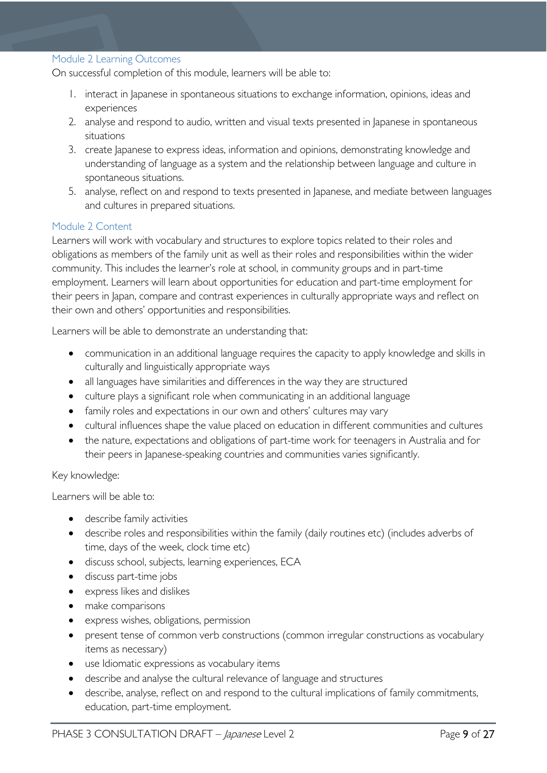#### <span id="page-8-0"></span>Module 2 Learning Outcomes

On successful completion of this module, learners will be able to:

- 1. interact in Japanese in spontaneous situations to exchange information, opinions, ideas and experiences
- 2. analyse and respond to audio, written and visual texts presented in Japanese in spontaneous situations
- 3. create Japanese to express ideas, information and opinions, demonstrating knowledge and understanding of language as a system and the relationship between language and culture in spontaneous situations.
- 5. analyse, reflect on and respond to texts presented in Japanese, and mediate between languages and cultures in prepared situations.

#### <span id="page-8-1"></span>Module 2 Content

Learners will work with vocabulary and structures to explore topics related to their roles and obligations as members of the family unit as well as their roles and responsibilities within the wider community. This includes the learner's role at school, in community groups and in part-time employment. Learners will learn about opportunities for education and part-time employment for their peers in Japan, compare and contrast experiences in culturally appropriate ways and reflect on their own and others' opportunities and responsibilities.

Learners will be able to demonstrate an understanding that:

- communication in an additional language requires the capacity to apply knowledge and skills in culturally and linguistically appropriate ways
- all languages have similarities and differences in the way they are structured
- culture plays a significant role when communicating in an additional language
- family roles and expectations in our own and others' cultures may vary
- cultural influences shape the value placed on education in different communities and cultures
- the nature, expectations and obligations of part-time work for teenagers in Australia and for their peers in Japanese-speaking countries and communities varies significantly.

#### Key knowledge:

Learners will be able to:

- describe family activities
- describe roles and responsibilities within the family (daily routines etc) (includes adverbs of time, days of the week, clock time etc)
- discuss school, subjects, learning experiences, ECA
- discuss part-time jobs
- express likes and dislikes
- make comparisons
- express wishes, obligations, permission
- present tense of common verb constructions (common irregular constructions as vocabulary items as necessary)
- use Idiomatic expressions as vocabulary items
- describe and analyse the cultural relevance of language and structures
- describe, analyse, reflect on and respond to the cultural implications of family commitments, education, part-time employment.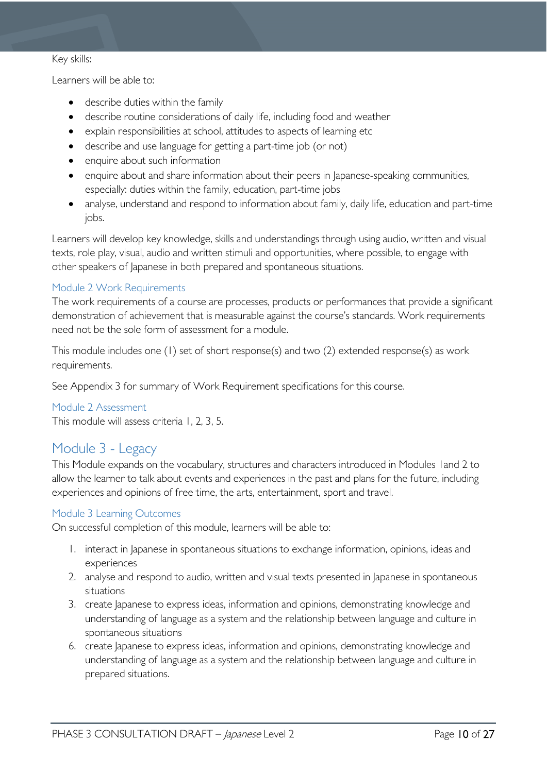#### Key skills:

Learners will be able to:

- describe duties within the family
- describe routine considerations of daily life, including food and weather
- explain responsibilities at school, attitudes to aspects of learning etc
- describe and use language for getting a part-time job (or not)
- enquire about such information
- enquire about and share information about their peers in Japanese-speaking communities, especially: duties within the family, education, part-time jobs
- analyse, understand and respond to information about family, daily life, education and part-time jobs.

Learners will develop key knowledge, skills and understandings through using audio, written and visual texts, role play, visual, audio and written stimuli and opportunities, where possible, to engage with other speakers of Japanese in both prepared and spontaneous situations.

#### <span id="page-9-0"></span>Module 2 Work Requirements

The work requirements of a course are processes, products or performances that provide a significant demonstration of achievement that is measurable against the course's standards. Work requirements need not be the sole form of assessment for a module.

This module includes one (1) set of short response(s) and two (2) extended response(s) as work requirements.

See Appendix 3 for summary of Work Requirement specifications for this course.

#### <span id="page-9-1"></span>Module 2 Assessment

This module will assess criteria 1, 2, 3, 5.

### <span id="page-9-2"></span>Module 3 - Legacy

This Module expands on the vocabulary, structures and characters introduced in Modules 1and 2 to allow the learner to talk about events and experiences in the past and plans for the future, including experiences and opinions of free time, the arts, entertainment, sport and travel.

#### <span id="page-9-3"></span>Module 3 Learning Outcomes

On successful completion of this module, learners will be able to:

- 1. interact in Japanese in spontaneous situations to exchange information, opinions, ideas and experiences
- 2. analyse and respond to audio, written and visual texts presented in Japanese in spontaneous situations
- 3. create Japanese to express ideas, information and opinions, demonstrating knowledge and understanding of language as a system and the relationship between language and culture in spontaneous situations
- 6. create Japanese to express ideas, information and opinions, demonstrating knowledge and understanding of language as a system and the relationship between language and culture in prepared situations.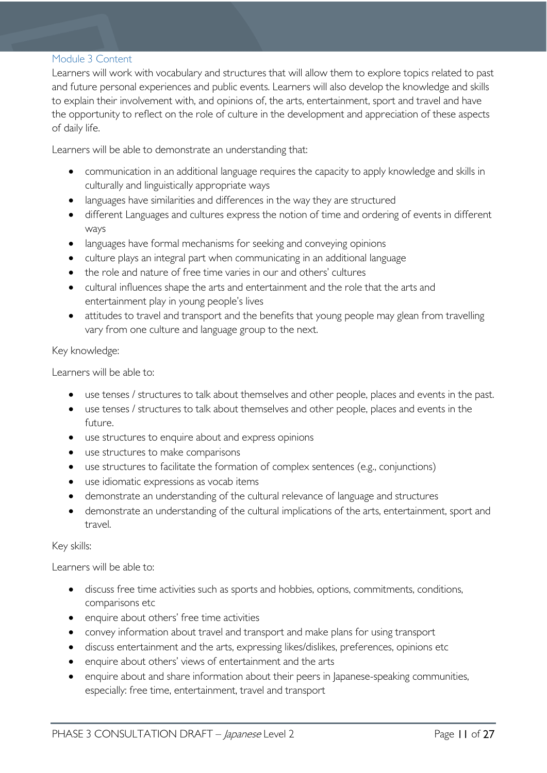#### <span id="page-10-0"></span>Module 3 Content

Learners will work with vocabulary and structures that will allow them to explore topics related to past and future personal experiences and public events. Learners will also develop the knowledge and skills to explain their involvement with, and opinions of, the arts, entertainment, sport and travel and have the opportunity to reflect on the role of culture in the development and appreciation of these aspects of daily life.

Learners will be able to demonstrate an understanding that:

- communication in an additional language requires the capacity to apply knowledge and skills in culturally and linguistically appropriate ways
- languages have similarities and differences in the way they are structured
- different Languages and cultures express the notion of time and ordering of events in different ways
- languages have formal mechanisms for seeking and conveying opinions
- culture plays an integral part when communicating in an additional language
- the role and nature of free time varies in our and others' cultures
- cultural influences shape the arts and entertainment and the role that the arts and entertainment play in young people's lives
- attitudes to travel and transport and the benefits that young people may glean from travelling vary from one culture and language group to the next.

Key knowledge:

Learners will be able to:

- use tenses / structures to talk about themselves and other people, places and events in the past.
- use tenses / structures to talk about themselves and other people, places and events in the future.
- use structures to enquire about and express opinions
- use structures to make comparisons
- use structures to facilitate the formation of complex sentences (e.g., conjunctions)
- use idiomatic expressions as vocab items
- demonstrate an understanding of the cultural relevance of language and structures
- demonstrate an understanding of the cultural implications of the arts, entertainment, sport and travel.

#### Key skills:

Learners will be able to:

- discuss free time activities such as sports and hobbies, options, commitments, conditions, comparisons etc
- enquire about others' free time activities
- convey information about travel and transport and make plans for using transport
- discuss entertainment and the arts, expressing likes/dislikes, preferences, opinions etc
- enquire about others' views of entertainment and the arts
- enquire about and share information about their peers in Japanese-speaking communities, especially: free time, entertainment, travel and transport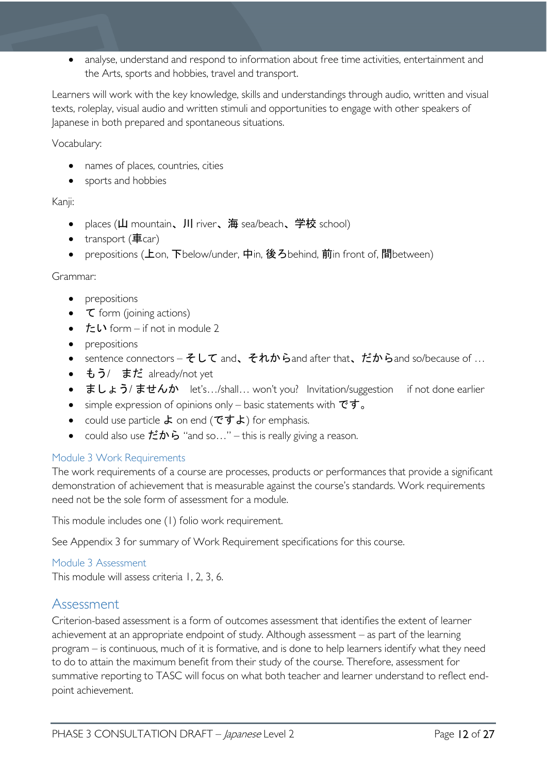• analyse, understand and respond to information about free time activities, entertainment and the Arts, sports and hobbies, travel and transport.

Learners will work with the key knowledge, skills and understandings through audio, written and visual texts, roleplay, visual audio and written stimuli and opportunities to engage with other speakers of Japanese in both prepared and spontaneous situations.

Vocabulary:

- names of places, countries, cities
- sports and hobbies

### Kanji:

- places (山 mountain、川 river、海 sea/beach、学校 school)
- transport (車car)
- prepositions (上on, 下below/under, 中in, 後ろbehind, 前in front of, 間between)

#### Grammar:

- prepositions
- て form (joining actions)
- $t = \mathbf{I} \cdot \mathbf{I}$  form if not in module 2
- prepositions
- sentence connectors  $\mathcal{F} \cup \mathcal{T}$  and,  $\mathcal{F} \hbar \mathcal{D}$  band after that,  $\mathcal{F} \hbar \mathcal{D}$  band so/because of ...
- もう/ まだ already/not yet
- ましょう/ませんか let's…/shall... won't you? Invitation/suggestion if not done earlier
- simple expression of opinions only basic statements with  $\vec{c} \vec{\sigma}$ .
- could use particle よ on end (ですよ) for emphasis.
- could also use  $\sharp \mathcal{D} \circ \mathcal{D}$  "and so..." this is really giving a reason.

#### <span id="page-11-0"></span>Module 3 Work Requirements

The work requirements of a course are processes, products or performances that provide a significant demonstration of achievement that is measurable against the course's standards. Work requirements need not be the sole form of assessment for a module.

This module includes one (1) folio work requirement.

See Appendix 3 for summary of Work Requirement specifications for this course.

<span id="page-11-1"></span>Module 3 Assessment This module will assess criteria 1, 2, 3, 6.

### <span id="page-11-2"></span>Assessment

Criterion-based assessment is a form of outcomes assessment that identifies the extent of learner achievement at an appropriate endpoint of study. Although assessment – as part of the learning program – is continuous, much of it is formative, and is done to help learners identify what they need to do to attain the maximum benefit from their study of the course. Therefore, assessment for summative reporting to TASC will focus on what both teacher and learner understand to reflect endpoint achievement.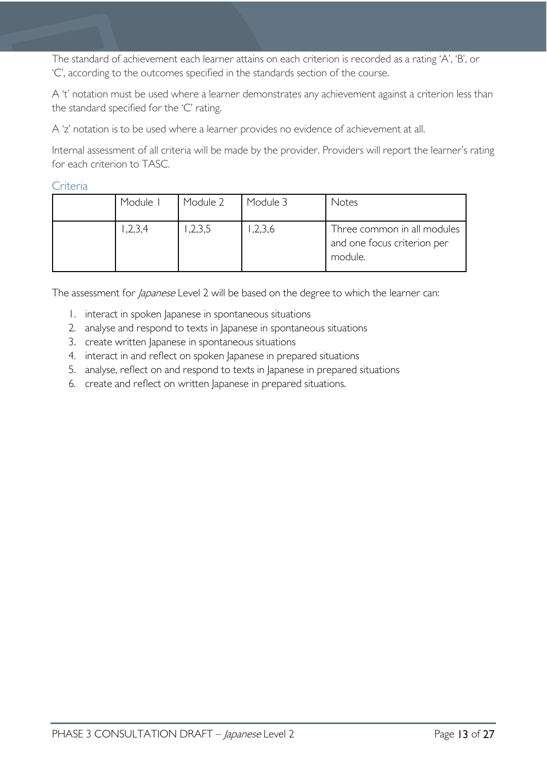The standard of achievement each learner attains on each criterion is recorded as a rating 'A', 'B', or 'C', according to the outcomes specified in the standards section of the course.

A 't' notation must be used where a learner demonstrates any achievement against a criterion less than the standard specified for the 'C' rating.

A 'z' notation is to be used where a learner provides no evidence of achievement at all.

Internal assessment of all criteria will be made by the provider. Providers will report the learner's rating for each criterion to TASC.

### <span id="page-12-0"></span>**Criteria**

| Module I | Module 2 | Module 3 | Notes                                                                 |
|----------|----------|----------|-----------------------------------------------------------------------|
| 1,2,3,4  | ,2,3,5   | ,2,3,6   | Three common in all modules<br>and one focus criterion per<br>module. |

The assessment for *Japanese* Level 2 will be based on the degree to which the learner can:

- 1. interact in spoken Japanese in spontaneous situations
- 2. analyse and respond to texts in Japanese in spontaneous situations
- 3. create written Japanese in spontaneous situations
- 4. interact in and reflect on spoken Japanese in prepared situations
- 5. analyse, reflect on and respond to texts in Japanese in prepared situations
- 6. create and reflect on written Japanese in prepared situations.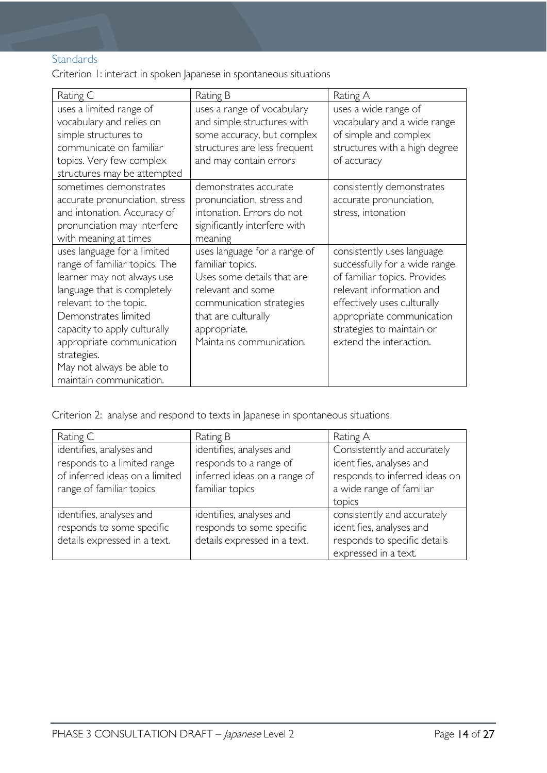### <span id="page-13-0"></span>**Standards**

Criterion 1: interact in spoken Japanese in spontaneous situations

| Rating C                                                                                                                                                                                                                                                                                                        | Rating B                                                                                                                                                                                           | Rating A                                                                                                                                                                                                                                    |
|-----------------------------------------------------------------------------------------------------------------------------------------------------------------------------------------------------------------------------------------------------------------------------------------------------------------|----------------------------------------------------------------------------------------------------------------------------------------------------------------------------------------------------|---------------------------------------------------------------------------------------------------------------------------------------------------------------------------------------------------------------------------------------------|
| uses a limited range of<br>vocabulary and relies on<br>simple structures to<br>communicate on familiar<br>topics. Very few complex<br>structures may be attempted                                                                                                                                               | uses a range of vocabulary<br>and simple structures with<br>some accuracy, but complex<br>structures are less frequent<br>and may contain errors                                                   | uses a wide range of<br>vocabulary and a wide range<br>of simple and complex<br>structures with a high degree<br>of accuracy                                                                                                                |
| sometimes demonstrates<br>accurate pronunciation, stress<br>and intonation. Accuracy of<br>pronunciation may interfere<br>with meaning at times                                                                                                                                                                 | demonstrates accurate<br>pronunciation, stress and<br>intonation. Errors do not<br>significantly interfere with<br>meaning                                                                         | consistently demonstrates<br>accurate pronunciation,<br>stress, intonation                                                                                                                                                                  |
| uses language for a limited<br>range of familiar topics. The<br>learner may not always use<br>language that is completely<br>relevant to the topic.<br>Demonstrates limited<br>capacity to apply culturally<br>appropriate communication<br>strategies.<br>May not always be able to<br>maintain communication. | uses language for a range of<br>familiar topics.<br>Uses some details that are<br>relevant and some<br>communication strategies<br>that are culturally<br>appropriate.<br>Maintains communication. | consistently uses language<br>successfully for a wide range<br>of familiar topics. Provides<br>relevant information and<br>effectively uses culturally<br>appropriate communication<br>strategies to maintain or<br>extend the interaction. |

Criterion 2: analyse and respond to texts in Japanese in spontaneous situations

| Rating C                                                                              | Rating B                                                                              | Rating A                                                                                                        |
|---------------------------------------------------------------------------------------|---------------------------------------------------------------------------------------|-----------------------------------------------------------------------------------------------------------------|
| identifies, analyses and<br>responds to a limited range                               | identifies, analyses and<br>responds to a range of                                    | Consistently and accurately<br>identifies, analyses and                                                         |
| of inferred ideas on a limited<br>range of familiar topics                            | inferred ideas on a range of<br>familiar topics                                       | responds to inferred ideas on<br>a wide range of familiar<br>topics                                             |
| identifies, analyses and<br>responds to some specific<br>details expressed in a text. | identifies, analyses and<br>responds to some specific<br>details expressed in a text. | consistently and accurately<br>identifies, analyses and<br>responds to specific details<br>expressed in a text. |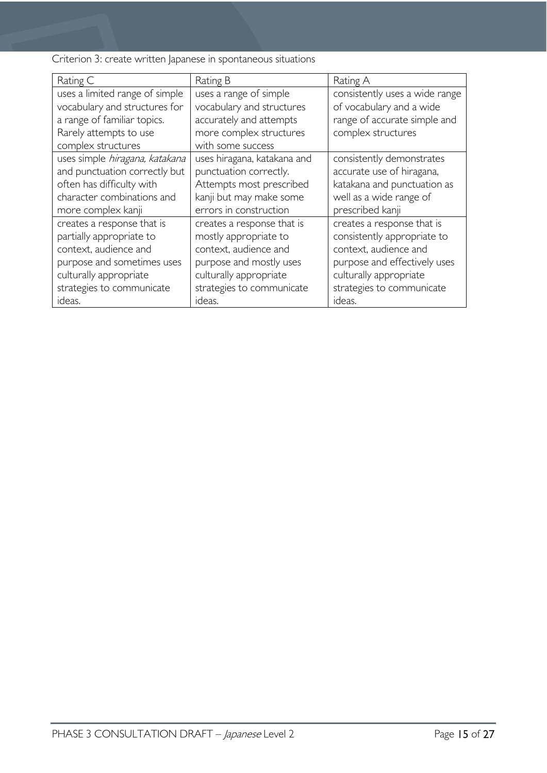Criterion 3: create written Japanese in spontaneous situations

| Rating C                       | Rating B                    | Rating A                       |
|--------------------------------|-----------------------------|--------------------------------|
| uses a limited range of simple | uses a range of simple      | consistently uses a wide range |
| vocabulary and structures for  | vocabulary and structures   | of vocabulary and a wide       |
| a range of familiar topics.    | accurately and attempts     | range of accurate simple and   |
| Rarely attempts to use         | more complex structures     | complex structures             |
| complex structures             | with some success           |                                |
| uses simple hiragana, katakana | uses hiragana, katakana and | consistently demonstrates      |
| and punctuation correctly but  | punctuation correctly.      | accurate use of hiragana,      |
| often has difficulty with      | Attempts most prescribed    | katakana and punctuation as    |
| character combinations and     | kanji but may make some     | well as a wide range of        |
| more complex kanji             | errors in construction      | prescribed kanji               |
| creates a response that is     | creates a response that is  | creates a response that is     |
| partially appropriate to       | mostly appropriate to       | consistently appropriate to    |
| context, audience and          | context, audience and       | context, audience and          |
| purpose and sometimes uses     | purpose and mostly uses     | purpose and effectively uses   |
| culturally appropriate         | culturally appropriate      | culturally appropriate         |
| strategies to communicate      | strategies to communicate   | strategies to communicate      |
| ideas.                         | ideas.                      | ideas.                         |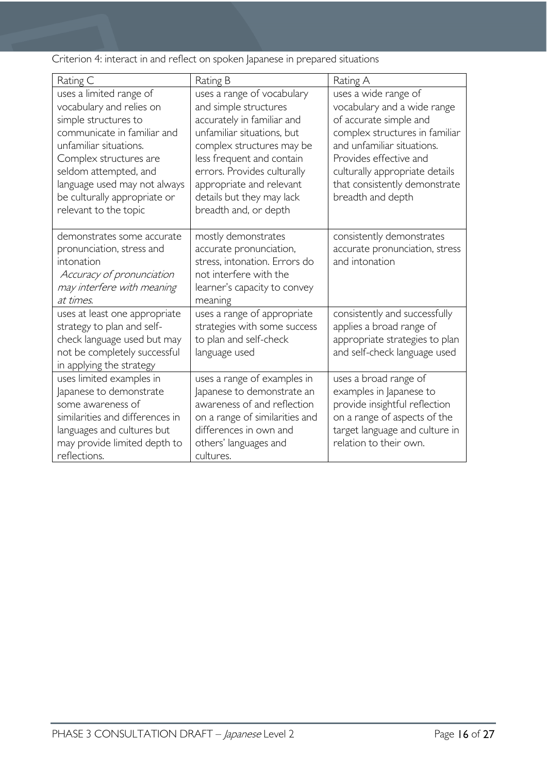Criterion 4: interact in and reflect on spoken Japanese in prepared situations

| Rating C                                                                                                                                                                                                                                                                         | Rating B                                                                                                                                                                                                                                                                                   | Rating A                                                                                                                                                                                                                                                        |
|----------------------------------------------------------------------------------------------------------------------------------------------------------------------------------------------------------------------------------------------------------------------------------|--------------------------------------------------------------------------------------------------------------------------------------------------------------------------------------------------------------------------------------------------------------------------------------------|-----------------------------------------------------------------------------------------------------------------------------------------------------------------------------------------------------------------------------------------------------------------|
| uses a limited range of<br>vocabulary and relies on<br>simple structures to<br>communicate in familiar and<br>unfamiliar situations.<br>Complex structures are<br>seldom attempted, and<br>language used may not always<br>be culturally appropriate or<br>relevant to the topic | uses a range of vocabulary<br>and simple structures<br>accurately in familiar and<br>unfamiliar situations, but<br>complex structures may be<br>less frequent and contain<br>errors. Provides culturally<br>appropriate and relevant<br>details but they may lack<br>breadth and, or depth | uses a wide range of<br>vocabulary and a wide range<br>of accurate simple and<br>complex structures in familiar<br>and unfamiliar situations.<br>Provides effective and<br>culturally appropriate details<br>that consistently demonstrate<br>breadth and depth |
| demonstrates some accurate<br>pronunciation, stress and<br>intonation<br>Accuracy of pronunciation<br>may interfere with meaning<br>at times.                                                                                                                                    | mostly demonstrates<br>accurate pronunciation,<br>stress, intonation. Errors do<br>not interfere with the<br>learner's capacity to convey<br>meaning                                                                                                                                       | consistently demonstrates<br>accurate pronunciation, stress<br>and intonation                                                                                                                                                                                   |
| uses at least one appropriate<br>strategy to plan and self-<br>check language used but may<br>not be completely successful<br>in applying the strategy                                                                                                                           | uses a range of appropriate<br>strategies with some success<br>to plan and self-check<br>language used                                                                                                                                                                                     | consistently and successfully<br>applies a broad range of<br>appropriate strategies to plan<br>and self-check language used                                                                                                                                     |
| uses limited examples in<br>Japanese to demonstrate<br>some awareness of<br>similarities and differences in<br>languages and cultures but<br>may provide limited depth to<br>reflections.                                                                                        | uses a range of examples in<br>Japanese to demonstrate an<br>awareness of and reflection<br>on a range of similarities and<br>differences in own and<br>others' languages and<br>cultures.                                                                                                 | uses a broad range of<br>examples in Japanese to<br>provide insightful reflection<br>on a range of aspects of the<br>target language and culture in<br>relation to their own.                                                                                   |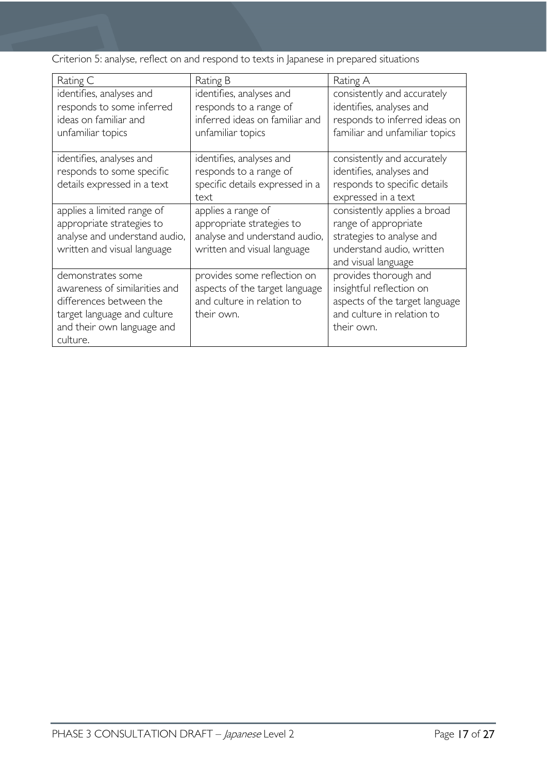Criterion 5: analyse, reflect on and respond to texts in Japanese in prepared situations

| Rating C                                                                                                                                               | Rating B                                                                                                        | Rating A                                                                                                                              |
|--------------------------------------------------------------------------------------------------------------------------------------------------------|-----------------------------------------------------------------------------------------------------------------|---------------------------------------------------------------------------------------------------------------------------------------|
| identifies, analyses and<br>responds to some inferred<br>ideas on familiar and<br>unfamiliar topics                                                    | identifies, analyses and<br>responds to a range of<br>inferred ideas on familiar and<br>unfamiliar topics       | consistently and accurately<br>identifies, analyses and<br>responds to inferred ideas on<br>familiar and unfamiliar topics            |
| identifies, analyses and<br>responds to some specific<br>details expressed in a text                                                                   | identifies, analyses and<br>responds to a range of<br>specific details expressed in a<br>text                   | consistently and accurately<br>identifies, analyses and<br>responds to specific details<br>expressed in a text                        |
| applies a limited range of<br>appropriate strategies to<br>analyse and understand audio,<br>written and visual language                                | applies a range of<br>appropriate strategies to<br>analyse and understand audio,<br>written and visual language | consistently applies a broad<br>range of appropriate<br>strategies to analyse and<br>understand audio, written<br>and visual language |
| demonstrates some<br>awareness of similarities and<br>differences between the<br>target language and culture<br>and their own language and<br>culture. | provides some reflection on<br>aspects of the target language<br>and culture in relation to<br>their own.       | provides thorough and<br>insightful reflection on<br>aspects of the target language<br>and culture in relation to<br>their own.       |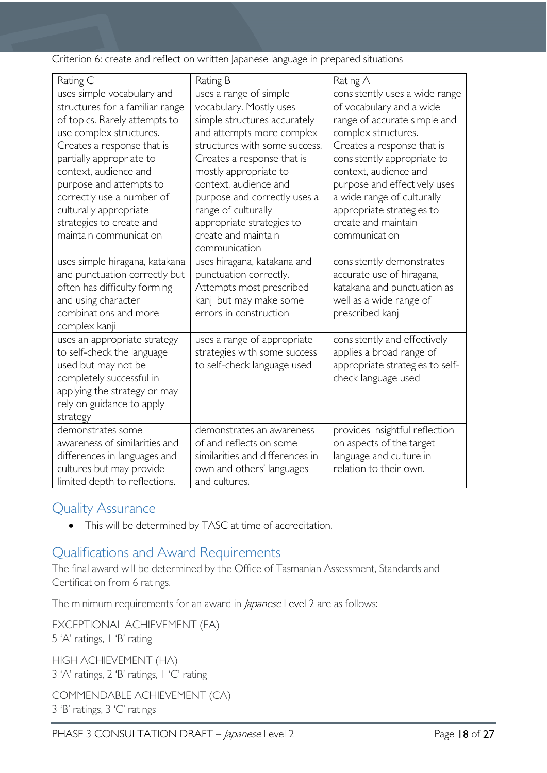Criterion 6: create and reflect on written Japanese language in prepared situations

| Rating C                                                                                                                                                                                                                                                                                                                                             | Rating B                                                                                                                                                                                                                                                                                                                                                    | Rating A                                                                                                                                                                                                                                                                                                                                   |
|------------------------------------------------------------------------------------------------------------------------------------------------------------------------------------------------------------------------------------------------------------------------------------------------------------------------------------------------------|-------------------------------------------------------------------------------------------------------------------------------------------------------------------------------------------------------------------------------------------------------------------------------------------------------------------------------------------------------------|--------------------------------------------------------------------------------------------------------------------------------------------------------------------------------------------------------------------------------------------------------------------------------------------------------------------------------------------|
| uses simple vocabulary and<br>structures for a familiar range<br>of topics. Rarely attempts to<br>use complex structures.<br>Creates a response that is<br>partially appropriate to<br>context, audience and<br>purpose and attempts to<br>correctly use a number of<br>culturally appropriate<br>strategies to create and<br>maintain communication | uses a range of simple<br>vocabulary. Mostly uses<br>simple structures accurately<br>and attempts more complex<br>structures with some success.<br>Creates a response that is<br>mostly appropriate to<br>context, audience and<br>purpose and correctly uses a<br>range of culturally<br>appropriate strategies to<br>create and maintain<br>communication | consistently uses a wide range<br>of vocabulary and a wide<br>range of accurate simple and<br>complex structures.<br>Creates a response that is<br>consistently appropriate to<br>context, audience and<br>purpose and effectively uses<br>a wide range of culturally<br>appropriate strategies to<br>create and maintain<br>communication |
| uses simple hiragana, katakana<br>and punctuation correctly but<br>often has difficulty forming<br>and using character<br>combinations and more<br>complex kanji                                                                                                                                                                                     | uses hiragana, katakana and<br>punctuation correctly.<br>Attempts most prescribed<br>kanji but may make some<br>errors in construction                                                                                                                                                                                                                      | consistently demonstrates<br>accurate use of hiragana,<br>katakana and punctuation as<br>well as a wide range of<br>prescribed kanji                                                                                                                                                                                                       |
| uses an appropriate strategy<br>to self-check the language<br>used but may not be<br>completely successful in<br>applying the strategy or may<br>rely on guidance to apply<br>strategy                                                                                                                                                               | uses a range of appropriate<br>strategies with some success<br>to self-check language used                                                                                                                                                                                                                                                                  | consistently and effectively<br>applies a broad range of<br>appropriate strategies to self-<br>check language used                                                                                                                                                                                                                         |
| demonstrates some<br>awareness of similarities and<br>differences in languages and<br>cultures but may provide<br>limited depth to reflections.                                                                                                                                                                                                      | demonstrates an awareness<br>of and reflects on some<br>similarities and differences in<br>own and others' languages<br>and cultures.                                                                                                                                                                                                                       | provides insightful reflection<br>on aspects of the target<br>language and culture in<br>relation to their own.                                                                                                                                                                                                                            |

# <span id="page-17-0"></span>Quality Assurance

• This will be determined by TASC at time of accreditation.

# <span id="page-17-1"></span>Qualifications and Award Requirements

The final award will be determined by the Office of Tasmanian Assessment, Standards and Certification from 6 ratings.

The minimum requirements for an award in *Japanese* Level 2 are as follows:

EXCEPTIONAL ACHIEVEMENT (EA) 5 'A' ratings, 1 'B' rating

HIGH ACHIEVEMENT (HA) 3 'A' ratings, 2 'B' ratings, 1 'C' rating

COMMENDABLE ACHIEVEMENT (CA) 3 'B' ratings, 3 'C' ratings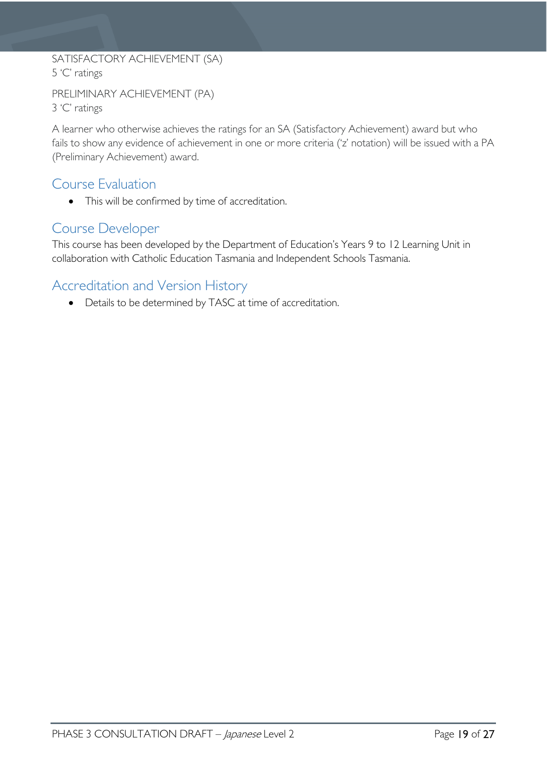### SATISFACTORY ACHIEVEMENT (SA) 5 'C' ratings

```
PRELIMINARY ACHIEVEMENT (PA)
3 'C' ratings
```
A learner who otherwise achieves the ratings for an SA (Satisfactory Achievement) award but who fails to show any evidence of achievement in one or more criteria ('z' notation) will be issued with a PA (Preliminary Achievement) award.

### <span id="page-18-0"></span>Course Evaluation

• This will be confirmed by time of accreditation.

### <span id="page-18-1"></span>Course Developer

This course has been developed by the Department of Education's Years 9 to 12 Learning Unit in collaboration with Catholic Education Tasmania and Independent Schools Tasmania.

# <span id="page-18-2"></span>Accreditation and Version History

• Details to be determined by TASC at time of accreditation.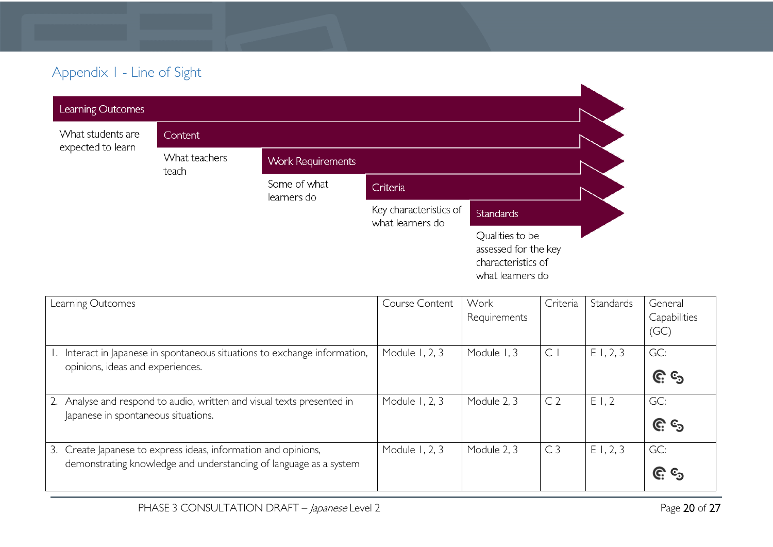# Appendix 1 - Line of Sight

| Learning Outcomes |                        |                             |                                            |                                                                                   |  |
|-------------------|------------------------|-----------------------------|--------------------------------------------|-----------------------------------------------------------------------------------|--|
| What students are | Content                |                             |                                            |                                                                                   |  |
| expected to learn | What teachers<br>teach | <b>Work Requirements</b>    |                                            |                                                                                   |  |
|                   |                        | Some of what<br>learners do | Criteria                                   |                                                                                   |  |
|                   |                        |                             | Key characteristics of<br>what learners do | <b>Standards</b>                                                                  |  |
|                   |                        |                             |                                            | Qualities to be<br>assessed for the key<br>characteristics of<br>what learners do |  |

<span id="page-19-0"></span>

| Learning Outcomes                                                       | Course Content | Work         | Criteria       | Standards   | General              |
|-------------------------------------------------------------------------|----------------|--------------|----------------|-------------|----------------------|
|                                                                         |                | Requirements |                |             | Capabilities<br>(GC) |
| Interact in Japanese in spontaneous situations to exchange information, | Module 1, 2, 3 | Module 1, 3  | $\subset$      | E1, 2, 3    | GC:                  |
| opinions, ideas and experiences.                                        |                |              |                |             | <u>၉</u> ေ           |
| Analyse and respond to audio, written and visual texts presented in     | Module 1, 2, 3 | Module 2, 3  | C <sub>2</sub> | E1,2        | GC:                  |
| Japanese in spontaneous situations.                                     |                |              |                |             | <u>ල</u> ද           |
| 3. Create Japanese to express ideas, information and opinions,          | Module 1, 2, 3 | Module 2, 3  | C <sub>3</sub> | $E$ 1, 2, 3 | GC:                  |
| demonstrating knowledge and understanding of language as a system       |                |              |                |             | <u>ල</u> ද           |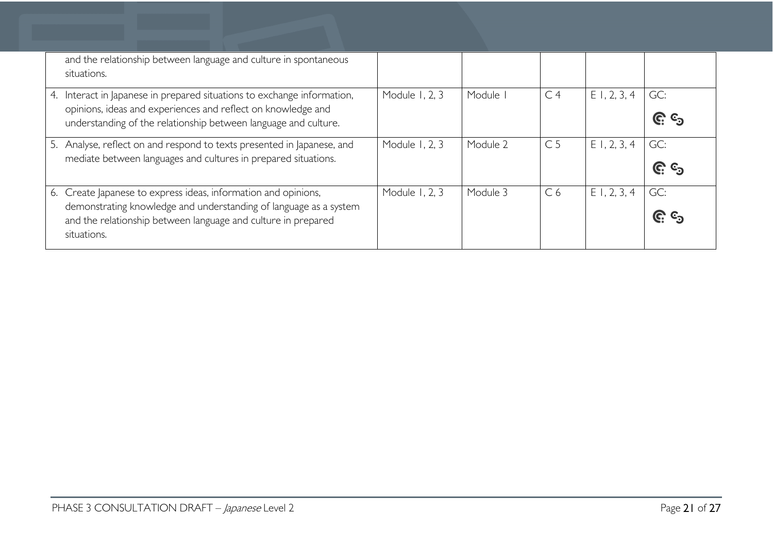| and the relationship between language and culture in spontaneous<br>situations.                                                                                                                                     |                |          |                |                |                   |
|---------------------------------------------------------------------------------------------------------------------------------------------------------------------------------------------------------------------|----------------|----------|----------------|----------------|-------------------|
| 4. Interact in Japanese in prepared situations to exchange information,<br>opinions, ideas and experiences and reflect on knowledge and<br>understanding of the relationship between language and culture.          | Module 1, 2, 3 | Module   | C <sub>4</sub> | $E$ 1, 2, 3, 4 | GC:<br><u>၉</u> ၆ |
| 5. Analyse, reflect on and respond to texts presented in Japanese, and<br>mediate between languages and cultures in prepared situations.                                                                            | Module 1, 2, 3 | Module 2 | C <sub>5</sub> | $E$ 1, 2, 3, 4 | GC:<br><u>၉ ရ</u> |
| 6. Create Japanese to express ideas, information and opinions,<br>demonstrating knowledge and understanding of language as a system<br>and the relationship between language and culture in prepared<br>situations. | Module 1, 2, 3 | Module 3 | C <sub>6</sub> | $E$ 1, 2, 3, 4 | GC:<br><u>၉ ၄</u> |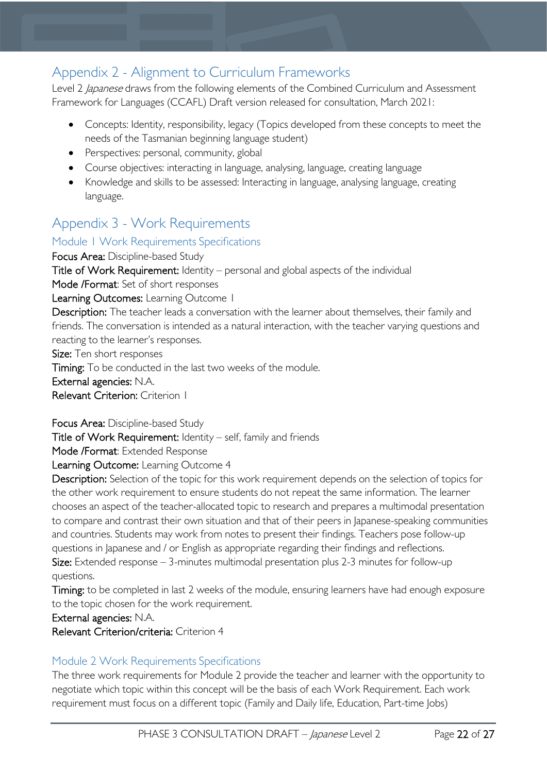# <span id="page-21-0"></span>Appendix 2 - Alignment to Curriculum Frameworks

Level 2 *Japanese* draws from the following elements of the Combined Curriculum and Assessment Framework for Languages (CCAFL) Draft version released for consultation, March 2021:

- Concepts: Identity, responsibility, legacy (Topics developed from these concepts to meet the needs of the Tasmanian beginning language student)
- Perspectives: personal, community, global
- Course objectives: interacting in language, analysing, language, creating language
- Knowledge and skills to be assessed: Interacting in language, analysing language, creating language.

# <span id="page-21-1"></span>Appendix 3 - Work Requirements

### <span id="page-21-2"></span>Module 1 Work Requirements Specifications

Focus Area: Discipline-based Study Title of Work Requirement: Identity – personal and global aspects of the individual Mode /Format: Set of short responses Learning Outcomes: Learning Outcome 1 Description: The teacher leads a conversation with the learner about themselves, their family and friends. The conversation is intended as a natural interaction, with the teacher varying questions and reacting to the learner's responses. Size: Ten short responses

Timing: To be conducted in the last two weeks of the module. External agencies: N.A. Relevant Criterion: Criterion 1

Focus Area: Discipline-based Study

Title of Work Requirement: Identity – self, family and friends

Mode /Format: Extended Response

Learning Outcome: Learning Outcome 4

Description: Selection of the topic for this work requirement depends on the selection of topics for the other work requirement to ensure students do not repeat the same information. The learner chooses an aspect of the teacher-allocated topic to research and prepares a multimodal presentation to compare and contrast their own situation and that of their peers in Japanese-speaking communities and countries. Students may work from notes to present their findings. Teachers pose follow-up questions in Japanese and / or English as appropriate regarding their findings and reflections. Size: Extended response  $-3$ -minutes multimodal presentation plus 2-3 minutes for follow-up questions.

Timing: to be completed in last 2 weeks of the module, ensuring learners have had enough exposure to the topic chosen for the work requirement.

External agencies: N.A.

Relevant Criterion/criteria: Criterion 4

### <span id="page-21-3"></span>Module 2 Work Requirements Specifications

The three work requirements for Module 2 provide the teacher and learner with the opportunity to negotiate which topic within this concept will be the basis of each Work Requirement. Each work requirement must focus on a different topic (Family and Daily life, Education, Part-time Jobs)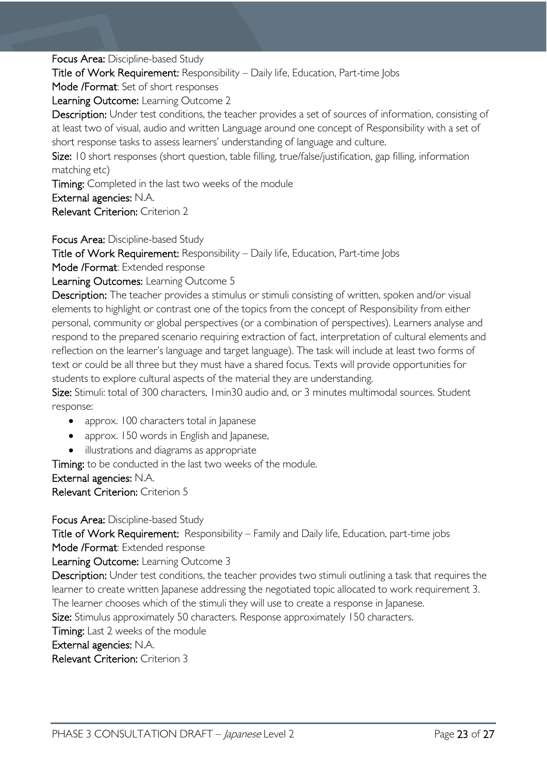Focus Area: Discipline-based Study

Title of Work Requirement: Responsibility – Daily life, Education, Part-time Jobs

Mode /Format: Set of short responses

Learning Outcome: Learning Outcome 2

Description: Under test conditions, the teacher provides a set of sources of information, consisting of at least two of visual, audio and written Language around one concept of Responsibility with a set of short response tasks to assess learners' understanding of language and culture.

Size: 10 short responses (short question, table filling, true/false/justification, gap filling, information matching etc)

Timing: Completed in the last two weeks of the module

External agencies: N.A.

Relevant Criterion: Criterion 2

Focus Area: Discipline-based Study

Title of Work Requirement: Responsibility – Daily life, Education, Part-time Jobs

Mode /Format: Extended response

Learning Outcomes: Learning Outcome 5

Description: The teacher provides a stimulus or stimuli consisting of written, spoken and/or visual elements to highlight or contrast one of the topics from the concept of Responsibility from either personal, community or global perspectives (or a combination of perspectives). Learners analyse and respond to the prepared scenario requiring extraction of fact, interpretation of cultural elements and reflection on the learner's language and target language). The task will include at least two forms of text or could be all three but they must have a shared focus. Texts will provide opportunities for students to explore cultural aspects of the material they are understanding.

Size: Stimuli: total of 300 characters, 1 min30 audio and, or 3 minutes multimodal sources. Student response:

- approx. 100 characters total in Japanese
- approx. 150 words in English and Japanese,
- illustrations and diagrams as appropriate

Timing: to be conducted in the last two weeks of the module.

External agencies: N.A.

Relevant Criterion: Criterion 5

Focus Area: Discipline-based Study Title of Work Requirement: Responsibility – Family and Daily life, Education, part-time jobs Mode /Format: Extended response Learning Outcome: Learning Outcome 3 Description: Under test conditions, the teacher provides two stimuli outlining a task that requires the learner to create written lapanese addressing the negotiated topic allocated to work requirement 3. The learner chooses which of the stimuli they will use to create a response in Japanese. Size: Stimulus approximately 50 characters. Response approximately 150 characters. Timing: Last 2 weeks of the module External agencies: N.A. Relevant Criterion: Criterion 3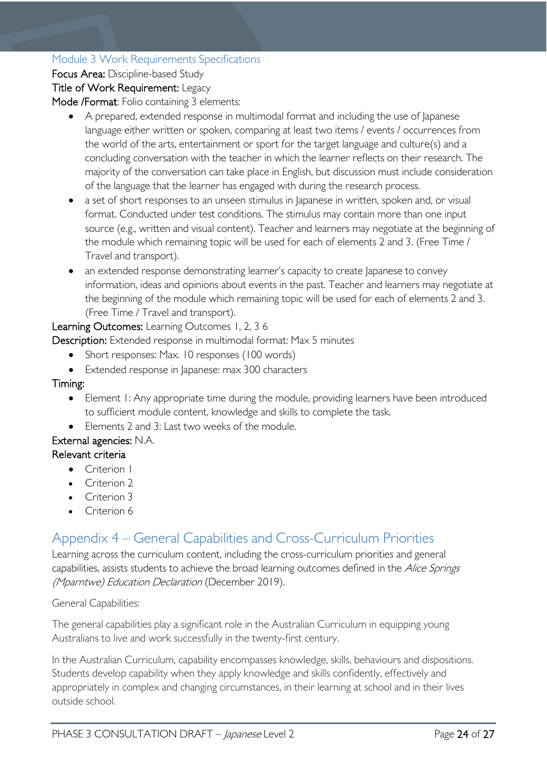### <span id="page-23-0"></span>Module 3 Work Requirements Specifications

Focus Area: Discipline-based Study

### Title of Work Requirement: Legacy

Mode /Format: Folio containing 3 elements:

- A prepared, extended response in multimodal format and including the use of lapanese language either written or spoken, comparing at least two items / events / occurrences from the world of the arts, entertainment or sport for the target language and culture(s) and a concluding conversation with the teacher in which the learner reflects on their research. The majority of the conversation can take place in English, but discussion must include consideration of the language that the learner has engaged with during the research process.
- a set of short responses to an unseen stimulus in Japanese in written, spoken and, or visual format. Conducted under test conditions. The stimulus may contain more than one input source (e.g., written and visual content). Teacher and learners may negotiate at the beginning of the module which remaining topic will be used for each of elements 2 and 3. (Free Time / Travel and transport).
- an extended response demonstrating learner's capacity to create Japanese to convey information, ideas and opinions about events in the past. Teacher and learners may negotiate at the beginning of the module which remaining topic will be used for each of elements 2 and 3. (Free Time / Travel and transport).

Learning Outcomes: Learning Outcomes 1, 2, 3 6

Description: Extended response in multimodal format: Max 5 minutes

- Short responses: Max. 10 responses (100 words)
- Extended response in Japanese: max 300 characters

Timing:

- Element I: Any appropriate time during the module, providing learners have been introduced to sufficient module content, knowledge and skills to complete the task.
- Elements 2 and 3: Last two weeks of the module.

### External agencies: N.A.

#### Relevant criteria

- Criterion I
- Criterion 2
- Criterion 3
- Criterion 6

# <span id="page-23-1"></span>Appendix 4 – General Capabilities and Cross-Curriculum Priorities

Learning across the curriculum content, including the cross-curriculum priorities and general capabilities, assists students to achieve the broad learning outcomes defined in the Alice Springs (Mparntwe) Education Declaration (December 2019).

#### General Capabilities:

The general capabilities play a significant role in the Australian Curriculum in equipping young Australians to live and work successfully in the twenty-first century.

In the Australian Curriculum, capability encompasses knowledge, skills, behaviours and dispositions. Students develop capability when they apply knowledge and skills confidently, effectively and appropriately in complex and changing circumstances, in their learning at school and in their lives outside school.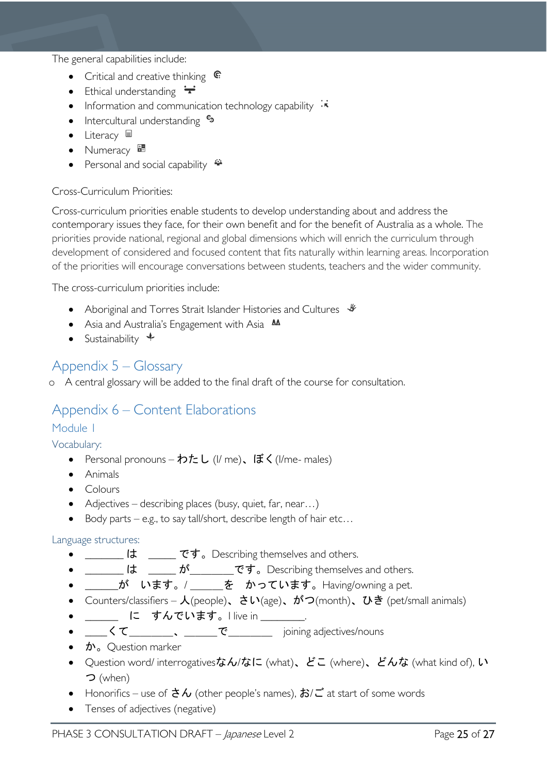The general capabilities include:

- Critical and creative thinking  $\mathbb{C}$
- Ethical understanding  $\div$
- Information and communication technology capability  $\cdot \cdot$
- Intercultural understanding •
- Literacy  $\blacksquare$
- Numeracy
- Personal and social capability

#### Cross-Curriculum Priorities:

Cross-curriculum priorities enable students to develop understanding about and address the contemporary issues they face, for their own benefit and for the benefit of Australia as a whole. The priorities provide national, regional and global dimensions which will enrich the curriculum through development of considered and focused content that fits naturally within learning areas. Incorporation of the priorities will encourage conversations between students, teachers and the wider community.

The cross-curriculum priorities include:

- Aboriginal and Torres Strait Islander Histories and Cultures  $\mathcal$
- Asia and Australia's Engagement with Asia **AA**
- Sustainability  $\triangleleft$

### <span id="page-24-0"></span>Appendix 5 – Glossary

o A central glossary will be added to the final draft of the course for consultation.

### <span id="page-24-1"></span>Appendix 6 – Content Elaborations

### <span id="page-24-2"></span>Module 1

<span id="page-24-3"></span>Vocabulary:

- Personal pronouns わたし (I/ me)、ぼく(I/me- males)
- Animals
- Colours
- Adjectives describing places (busy, quiet, far, near...)
- Body parts e.g., to say tall/short, describe length of hair etc...

#### <span id="page-24-4"></span>Language structures:

- <u>\_\_\_\_\_\_</u> は \_\_\_\_\_ です。Describing themselves and others.
- \_\_\_\_\_\_ は \_\_\_\_\_ が\_\_\_\_\_\_\_です。Describing themselves and others.
- \_\_\_\_\_\_が います。/ \_\_\_\_\_ を かっています。Having/owning a pet.
- Counters/classifiers  $\lambda$ (people)、さい(age)、がつ(month)、ひき (pet/small animals)
- \_\_\_\_\_ に すんでいます。I live in \_\_\_\_\_\_\_.
- <u>くて</u> 、 で joining adjectives/nouns
- $\mathbf{\dot{D}}$  Question marker
- Question word/ interrogativesなん/なに (what)、どこ (where)、どんな (what kind of), い つ (when)
- Honorifics use of  $\dot{\sigma} \lambda$  (other people's names),  $\dot{\sigma} \lambda \vec{c}$  at start of some words
- Tenses of adjectives (negative)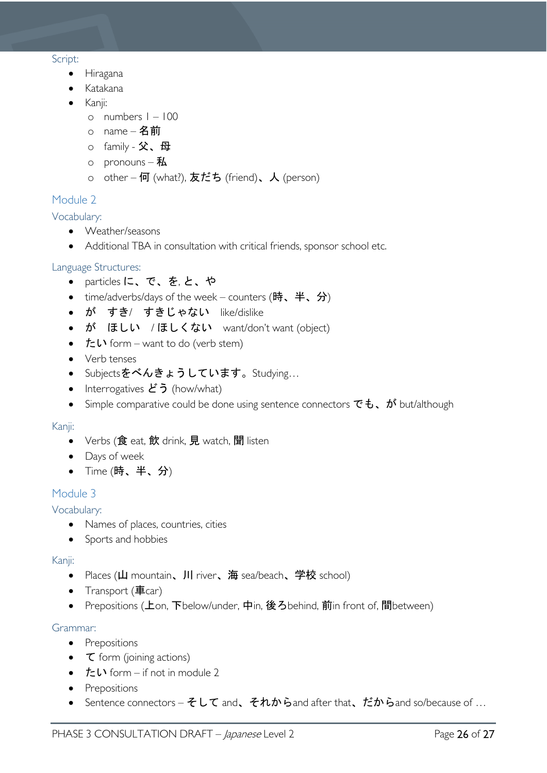#### <span id="page-25-0"></span>Script:

- Hiragana
- Katakana
- Kanji:
	- o numbers 1 100
	- o name 名前
	- o family 父、母
	- o pronouns  $#$
	- o other 何 (what?), 友だち (friend)、人 (person)

### <span id="page-25-1"></span>Module 2

<span id="page-25-2"></span>Vocabulary:

- Weather/seasons
- Additional TBA in consultation with critical friends, sponsor school etc.

### <span id="page-25-3"></span>Language Structures:

- particles に、で、を, と、や
- time/adverbs/days of the week counters (時、半、分)
- が すき/ すきじゃない like/dislike
- が ほしい /ほしくない want/don't want (object)
- $t = \mathbf{L} \cdot \text{form} \text{want to do (verb stem)}$
- Verb tenses
- Subjectsをべんきょうしています。Studying…
- Interrogatives  $\mathcal{E}$ う (how/what)
- Simple comparative could be done using sentence connectors  $\vec{c}$  to  $\vec{b}$ ,  $\vec{b}$  but/although

#### <span id="page-25-4"></span>Kanji:

- Verbs (食 eat, 飲 drink, 見 watch, 聞 listen
- Days of week
- Time (時、半、分)

### <span id="page-25-5"></span>Module 3

### <span id="page-25-6"></span>Vocabulary:

- Names of places, countries, cities
- Sports and hobbies

#### <span id="page-25-7"></span>Kanji:

- Places (山 mountain、川 river、海 sea/beach、学校 school)
- Transport  $(\bar{\mathbf{\Xi}}$ car)
- Prepositions (上on, 下below/under, 中in, 後ろbehind, 前in front of, 間between)

#### <span id="page-25-8"></span>Grammar:

- Prepositions
- **⊂** form (joining actions)
- $t = \mathbf{L} \cdot \text{form} \text{if not in module 2}$
- Prepositions
- Sentence connectors そして and、それからand after that、だからand so/because of ...